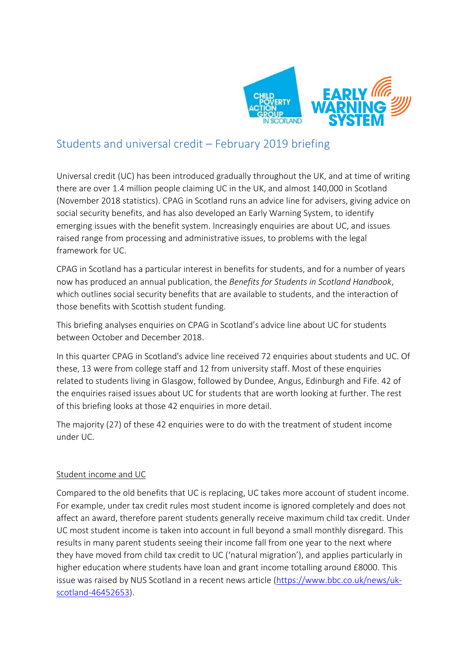

# Students and universal credit – February 2019 briefing

Universal credit (UC) has been introduced gradually throughout the UK, and at time of writing there are over 1.4 million people claiming UC in the UK, and almost 140,000 in Scotland (November 2018 statistics). CPAG in Scotland runs an advice line for advisers, giving advice on social security benefits, and has also developed an Early Warning System, to identify emerging issues with the benefit system. Increasingly enquiries are about UC, and issues raised range from processing and administrative issues, to problems with the legal framework for UC.

CPAG in Scotland has a particular interest in benefits for students, and for a number of years now has produced an annual publication, the *Benefits for Students in Scotland Handbook*, which outlines social security benefits that are available to students, and the interaction of those benefits with Scottish student funding.

This briefing analyses enquiries on CPAG in Scotland's advice line about UC for students between October and December 2018.

In this quarter CPAG in Scotland's advice line received 72 enquiries about students and UC. Of these, 13 were from college staff and 12 from university staff. Most of these enquiries related to students living in Glasgow, followed by Dundee, Angus, Edinburgh and Fife. 42 of the enquiries raised issues about UC for students that are worth looking at further. The rest of this briefing looks at those 42 enquiries in more detail.

The majority (27) of these 42 enquiries were to do with the treatment of student income under UC.

## Student income and UC

Compared to the old benefits that UC is replacing, UC takes more account of student income. For example, under tax credit rules most student income is ignored completely and does not affect an award, therefore parent students generally receive maximum child tax credit. Under UC most student income is taken into account in full beyond a small monthly disregard. This results in many parent students seeing their income fall from one year to the next where they have moved from child tax credit to UC ('natural migration'), and applies particularly in higher education where students have loan and grant income totalling around £8000. This issue was raised by NUS Scotland in a recent news article [\(https://www.bbc.co.uk/news/uk](https://www.bbc.co.uk/news/uk-scotland-46452653)[scotland-46452653\)](https://www.bbc.co.uk/news/uk-scotland-46452653).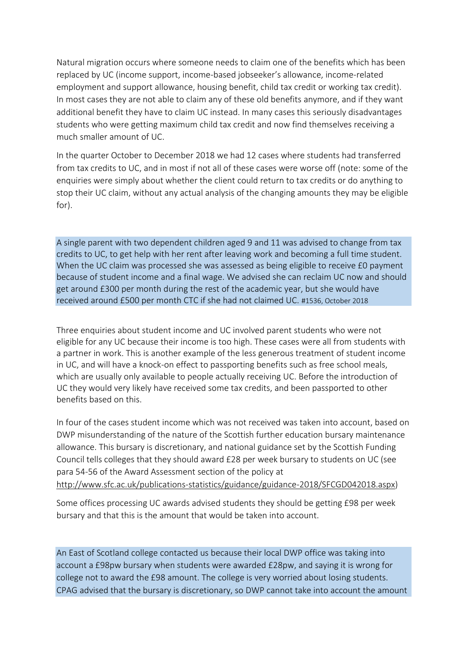Natural migration occurs where someone needs to claim one of the benefits which has been replaced by UC (income support, income-based jobseeker's allowance, income-related employment and support allowance, housing benefit, child tax credit or working tax credit). In most cases they are not able to claim any of these old benefits anymore, and if they want additional benefit they have to claim UC instead. In many cases this seriously disadvantages students who were getting maximum child tax credit and now find themselves receiving a much smaller amount of UC.

In the quarter October to December 2018 we had 12 cases where students had transferred from tax credits to UC, and in most if not all of these cases were worse off (note: some of the enquiries were simply about whether the client could return to tax credits or do anything to stop their UC claim, without any actual analysis of the changing amounts they may be eligible for).

A single parent with two dependent children aged 9 and 11 was advised to change from tax credits to UC, to get help with her rent after leaving work and becoming a full time student. When the UC claim was processed she was assessed as being eligible to receive £0 payment because of student income and a final wage. We advised she can reclaim UC now and should get around £300 per month during the rest of the academic year, but she would have received around £500 per month CTC if she had not claimed UC. #1536, October 2018

Three enquiries about student income and UC involved parent students who were not eligible for any UC because their income is too high. These cases were all from students with a partner in work. This is another example of the less generous treatment of student income in UC, and will have a knock-on effect to passporting benefits such as free school meals, which are usually only available to people actually receiving UC. Before the introduction of UC they would very likely have received some tax credits, and been passported to other benefits based on this.

In four of the cases student income which was not received was taken into account, based on DWP misunderstanding of the nature of the Scottish further education bursary maintenance allowance. This bursary is discretionary, and national guidance set by the Scottish Funding Council tells colleges that they should award £28 per week bursary to students on UC (see para 54-56 of the Award Assessment section of the policy at [http://www.sfc.ac.uk/publications-statistics/guidance/guidance-2018/SFCGD042018.aspx\)](http://www.sfc.ac.uk/publications-statistics/guidance/guidance-2018/SFCGD042018.aspx)

Some offices processing UC awards advised students they should be getting £98 per week bursary and that this is the amount that would be taken into account.

An East of Scotland college contacted us because their local DWP office was taking into account a £98pw bursary when students were awarded £28pw, and saying it is wrong for college not to award the £98 amount. The college is very worried about losing students. CPAG advised that the bursary is discretionary, so DWP cannot take into account the amount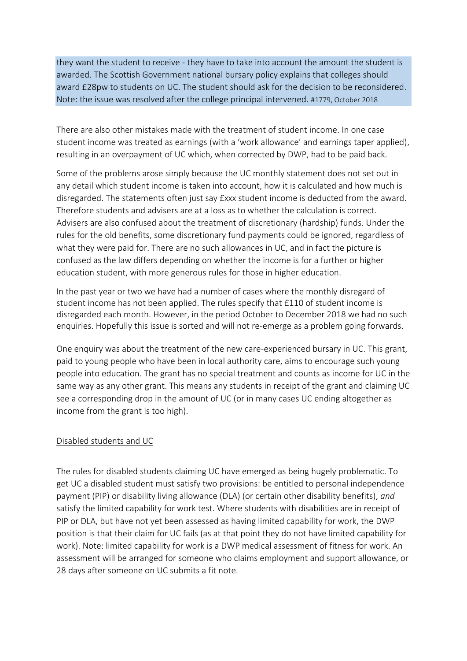they want the student to receive - they have to take into account the amount the student is awarded. The Scottish Government national bursary policy explains that colleges should award £28pw to students on UC. The student should ask for the decision to be reconsidered. Note: the issue was resolved after the college principal intervened. #1779, October 2018

There are also other mistakes made with the treatment of student income. In one case student income was treated as earnings (with a 'work allowance' and earnings taper applied), resulting in an overpayment of UC which, when corrected by DWP, had to be paid back.

Some of the problems arose simply because the UC monthly statement does not set out in any detail which student income is taken into account, how it is calculated and how much is disregarded. The statements often just say £xxx student income is deducted from the award. Therefore students and advisers are at a loss as to whether the calculation is correct. Advisers are also confused about the treatment of discretionary (hardship) funds. Under the rules for the old benefits, some discretionary fund payments could be ignored, regardless of what they were paid for. There are no such allowances in UC, and in fact the picture is confused as the law differs depending on whether the income is for a further or higher education student, with more generous rules for those in higher education.

In the past year or two we have had a number of cases where the monthly disregard of student income has not been applied. The rules specify that £110 of student income is disregarded each month. However, in the period October to December 2018 we had no such enquiries. Hopefully this issue is sorted and will not re-emerge as a problem going forwards.

One enquiry was about the treatment of the new care-experienced bursary in UC. This grant, paid to young people who have been in local authority care, aims to encourage such young people into education. The grant has no special treatment and counts as income for UC in the same way as any other grant. This means any students in receipt of the grant and claiming UC see a corresponding drop in the amount of UC (or in many cases UC ending altogether as income from the grant is too high).

## Disabled students and UC

The rules for disabled students claiming UC have emerged as being hugely problematic. To get UC a disabled student must satisfy two provisions: be entitled to personal independence payment (PIP) or disability living allowance (DLA) (or certain other disability benefits), *and* satisfy the limited capability for work test. Where students with disabilities are in receipt of PIP or DLA, but have not yet been assessed as having limited capability for work, the DWP position is that their claim for UC fails (as at that point they do not have limited capability for work). Note: limited capability for work is a DWP medical assessment of fitness for work. An assessment will be arranged for someone who claims employment and support allowance, or 28 days after someone on UC submits a fit note.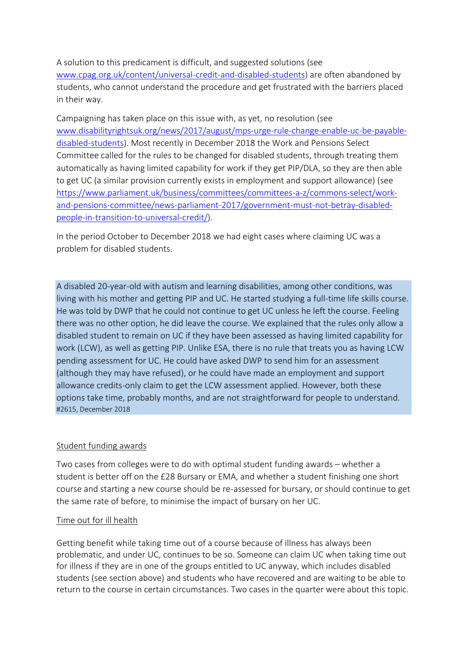A solution to this predicament is difficult, and suggested solutions (see [www.cpag.org.uk/content/universal-credit-and-disabled-students\)](http://www.cpag.org.uk/content/universal-credit-and-disabled-students) are often abandoned by students, who cannot understand the procedure and get frustrated with the barriers placed in their way.

Campaigning has taken place on this issue with, as yet, no resolution (see [www.disabilityrightsuk.org/news/2017/august/mps-urge-rule-change-enable-uc-be-payable](http://www.disabilityrightsuk.org/news/2017/august/mps-urge-rule-change-enable-uc-be-payable-disabled-students)[disabled-students\)](http://www.disabilityrightsuk.org/news/2017/august/mps-urge-rule-change-enable-uc-be-payable-disabled-students). Most recently in December 2018 the Work and Pensions Select Committee called for the rules to be changed for disabled students, through treating them automatically as having limited capability for work if they get PIP/DLA, so they are then able to get UC (a similar provision currently exists in employment and support allowance) (see [https://www.parliament.uk/business/committees/committees-a-z/commons-select/work](https://www.parliament.uk/business/committees/committees-a-z/commons-select/work-and-pensions-committee/news-parliament-2017/government-must-not-betray-disabled-people-in-transition-to-universal-credit/)[and-pensions-committee/news-parliament-2017/government-must-not-betray-disabled](https://www.parliament.uk/business/committees/committees-a-z/commons-select/work-and-pensions-committee/news-parliament-2017/government-must-not-betray-disabled-people-in-transition-to-universal-credit/)[people-in-transition-to-universal-credit/\)](https://www.parliament.uk/business/committees/committees-a-z/commons-select/work-and-pensions-committee/news-parliament-2017/government-must-not-betray-disabled-people-in-transition-to-universal-credit/).

In the period October to December 2018 we had eight cases where claiming UC was a problem for disabled students.

A disabled 20-year-old with autism and learning disabilities, among other conditions, was living with his mother and getting PIP and UC. He started studying a full-time life skills course. He was told by DWP that he could not continue to get UC unless he left the course. Feeling there was no other option, he did leave the course. We explained that the rules only allow a disabled student to remain on UC if they have been assessed as having limited capability for work (LCW), as well as getting PIP. Unlike ESA, there is no rule that treats you as having LCW pending assessment for UC. He could have asked DWP to send him for an assessment (although they may have refused), or he could have made an employment and support allowance credits-only claim to get the LCW assessment applied. However, both these options take time, probably months, and are not straightforward for people to understand. #2615, December 2018

## Student funding awards

Two cases from colleges were to do with optimal student funding awards – whether a student is better off on the £28 Bursary or EMA, and whether a student finishing one short course and starting a new course should be re-assessed for bursary, or should continue to get the same rate of before, to minimise the impact of bursary on her UC.

## Time out for ill health

Getting benefit while taking time out of a course because of illness has always been problematic, and under UC, continues to be so. Someone can claim UC when taking time out for illness if they are in one of the groups entitled to UC anyway, which includes disabled students (see section above) and students who have recovered and are waiting to be able to return to the course in certain circumstances. Two cases in the quarter were about this topic.